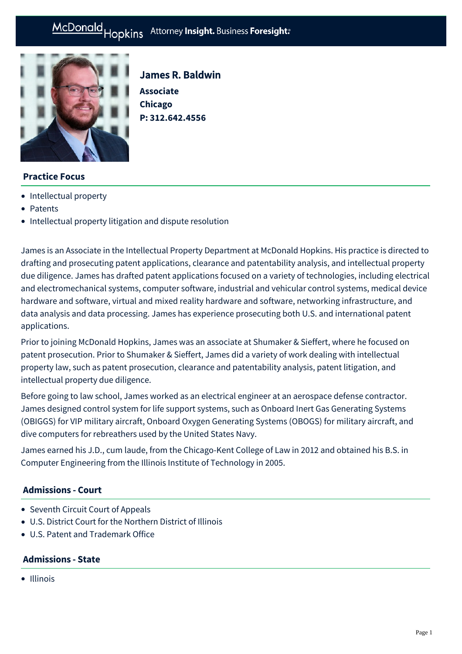#### **Hopkins** Attorney Insight. Business Foresight: McDonald



James R. Baldwin **Associate Chicago P: [312.642.4556](tel:312.642.4556)**

## **Practice Focus**

- [Intellectual property](https://mcdonaldhopkins.com/Expertise/Intellectual-property)
- [Patents](https://mcdonaldhopkins.com/Expertise/Intellectual-property/Patents)
- [Intellectual property litigation and dispute resolution](https://mcdonaldhopkins.com/Expertise/Intellectual-property/Intellectual-property-litigation-and-dispute-resol)

James is an Associate in the Intellectual Property Department at McDonald Hopkins. His practice is directed to drafting and prosecuting patent applications, clearance and patentability analysis, and intellectual property due diligence. James has drafted patent applications focused on a variety of technologies, including electrical and electromechanical systems, computer software, industrial and vehicular control systems, medical device hardware and software, virtual and mixed reality hardware and software, networking infrastructure, and data analysis and data processing. James has experience prosecuting both U.S. and international patent applications.

Prior to joining McDonald Hopkins, James was an associate at Shumaker & Sieffert, where he focused on patent prosecution. Prior to Shumaker & Sieffert, James did a variety of work dealing with intellectual property law, such as patent prosecution, clearance and patentability analysis, patent litigation, and intellectual property due diligence.

Before going to law school, James worked as an electrical engineer at an aerospace defense contractor. James designed control system for life support systems, such as Onboard Inert Gas Generating Systems (OBIGGS) for VIP military aircraft, Onboard Oxygen Generating Systems (OBOGS) for military aircraft, and dive computers for rebreathers used by the United States Navy.

James earned his J.D., cum laude, from the Chicago-Kent College of Law in 2012 and obtained his B.S. in Computer Engineering from the Illinois Institute of Technology in 2005.

### **Admissions - Court**

- Seventh Circuit Court of Appeals
- U.S. District Court for the Northern District of Illinois
- U.S. Patent and Trademark Office

### **Admissions - State**

• Illinois